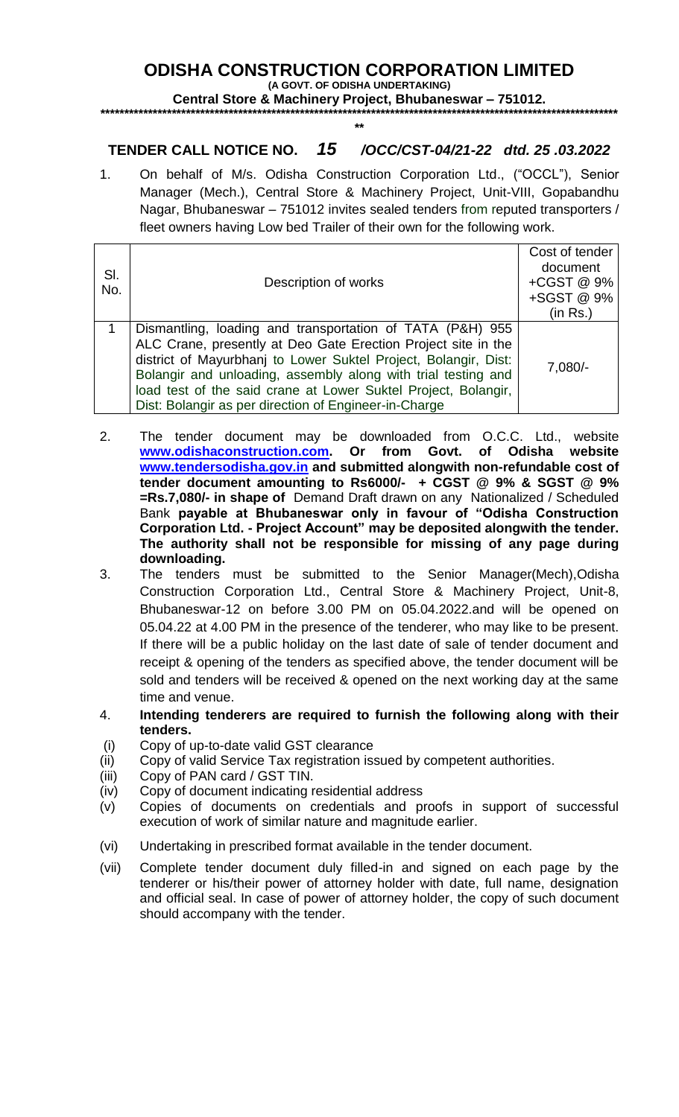## **ODISHA CONSTRUCTION CORPORATION LIMITED**

**(A GOVT. OF ODISHA UNDERTAKING) Central Store & Machinery Project, Bhubaneswar – 751012.** 

## **\*\*\*\*\*\*\*\*\*\*\*\*\*\*\*\*\*\*\*\*\*\*\*\*\*\*\*\*\*\*\*\*\*\*\*\*\*\*\*\*\*\*\*\*\*\*\*\*\*\*\*\*\*\*\*\*\*\*\*\*\*\*\*\*\*\*\*\*\*\*\*\*\*\*\*\*\*\*\*\*\*\*\*\*\*\*\*\*\*\*\*\*\*\*\*\*\*\*\*\*\*\*\*\*\*\*\*\*\* \*\***

## **TENDER CALL NOTICE NO.** *15 /OCC/CST-04/21-22 dtd. 25 .03.2022*

1. On behalf of M/s. Odisha Construction Corporation Ltd., ("OCCL"), Senior Manager (Mech.), Central Store & Machinery Project, Unit-VIII, Gopabandhu Nagar, Bhubaneswar – 751012 invites sealed tenders from reputed transporters / fleet owners having Low bed Trailer of their own for the following work.

| SI.<br>No. | Description of works                                                                                                                                                                                                                                                                                                                                                                      | Cost of tender<br>document<br>+CGST @ 9%<br>+SGST @ 9%<br>(in Rs.) |
|------------|-------------------------------------------------------------------------------------------------------------------------------------------------------------------------------------------------------------------------------------------------------------------------------------------------------------------------------------------------------------------------------------------|--------------------------------------------------------------------|
|            | Dismantling, loading and transportation of TATA (P&H) 955<br>ALC Crane, presently at Deo Gate Erection Project site in the<br>district of Mayurbhanj to Lower Suktel Project, Bolangir, Dist:<br>Bolangir and unloading, assembly along with trial testing and<br>load test of the said crane at Lower Suktel Project, Bolangir,<br>Dist: Bolangir as per direction of Engineer-in-Charge | $7,080/-$                                                          |

- 2. The tender document may be downloaded from O.C.C. Ltd., website **[www.odishaconstruction.com.](http://www.odishaconstruction.com/) Or from Govt. of Odisha website [www.tendersodisha.gov.in](http://www.tendersodisha.gov.in/) and submitted alongwith non-refundable cost of tender document amounting to Rs6000/- + CGST @ 9% & SGST @ 9% =Rs.7,080/- in shape of** Demand Draft drawn on any Nationalized / Scheduled Bank **payable at Bhubaneswar only in favour of "Odisha Construction Corporation Ltd. - Project Account" may be deposited alongwith the tender. The authority shall not be responsible for missing of any page during downloading.**
- 3. The tenders must be submitted to the Senior Manager(Mech),Odisha Construction Corporation Ltd., Central Store & Machinery Project, Unit-8, Bhubaneswar-12 on before 3.00 PM on 05.04.2022.and will be opened on 05.04.22 at 4.00 PM in the presence of the tenderer, who may like to be present. If there will be a public holiday on the last date of sale of tender document and receipt & opening of the tenders as specified above, the tender document will be sold and tenders will be received & opened on the next working day at the same time and venue.
- 4. **Intending tenderers are required to furnish the following along with their tenders.**
- (i) Copy of up-to-date valid GST clearance
- (ii) Copy of valid Service Tax registration issued by competent authorities.
- (iii) Copy of PAN card / GST TIN.
- (iv) Copy of document indicating residential address
- (v) Copies of documents on credentials and proofs in support of successful execution of work of similar nature and magnitude earlier.
- (vi) Undertaking in prescribed format available in the tender document.
- (vii) Complete tender document duly filled-in and signed on each page by the tenderer or his/their power of attorney holder with date, full name, designation and official seal. In case of power of attorney holder, the copy of such document should accompany with the tender.